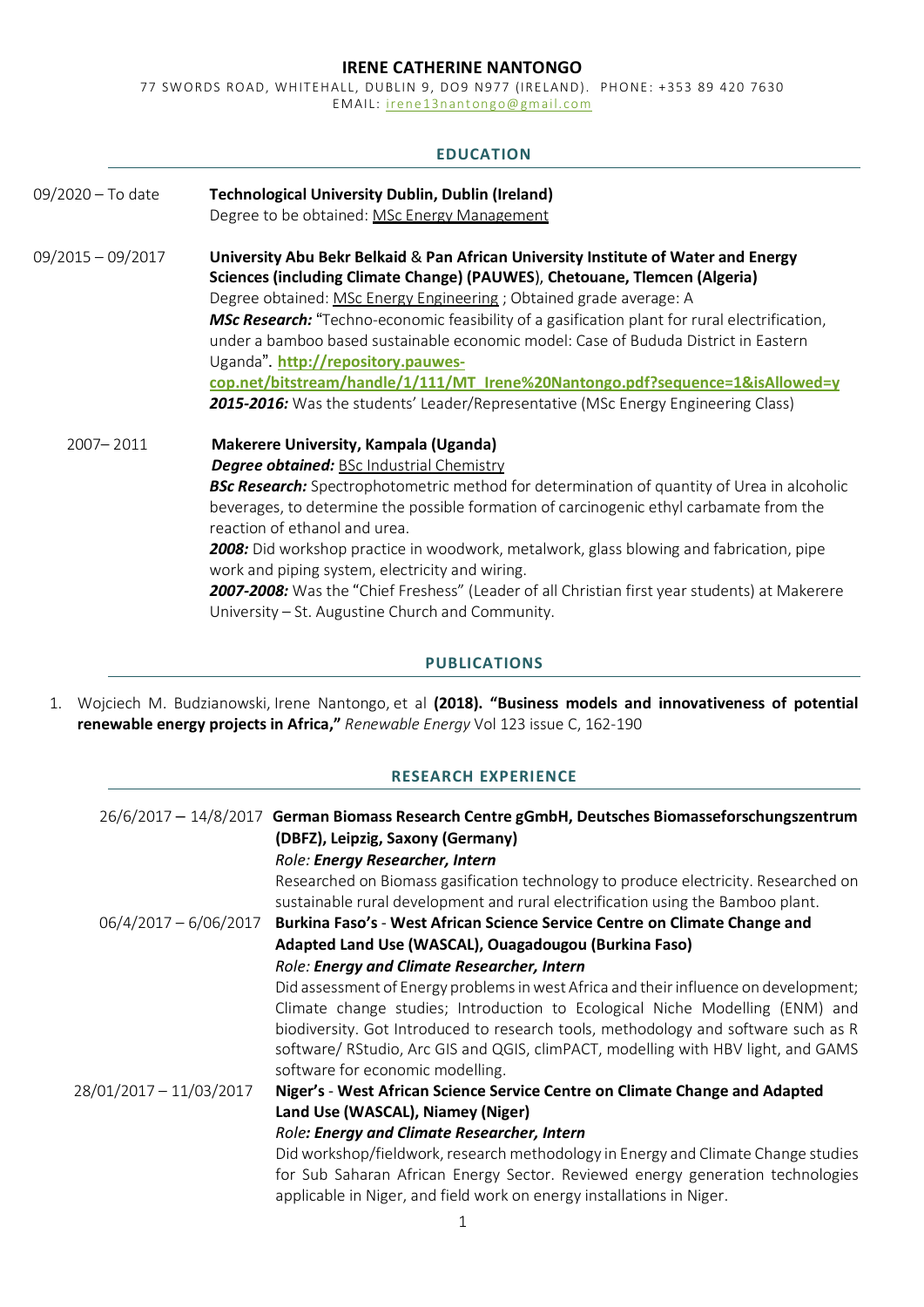## **IRENE CATHERINE NANTONGO**

77 SWORDS ROAD, WHITEHALL, DUBLIN 9, DO9 N977 (IRELAND). PHONE: +353 89 420 7630 EMAIL: irene13nantongo@gmail.com

# **EDUCATION**

| 09/2020 - To date   | <b>Technological University Dublin, Dublin (Ireland)</b><br>Degree to be obtained: MSc Energy Management                                                                                                                                                                                                                                                                                                                                                                                                                                                                                                                                    |
|---------------------|---------------------------------------------------------------------------------------------------------------------------------------------------------------------------------------------------------------------------------------------------------------------------------------------------------------------------------------------------------------------------------------------------------------------------------------------------------------------------------------------------------------------------------------------------------------------------------------------------------------------------------------------|
|                     |                                                                                                                                                                                                                                                                                                                                                                                                                                                                                                                                                                                                                                             |
| $09/2015 - 09/2017$ | University Abu Bekr Belkaid & Pan African University Institute of Water and Energy<br>Sciences (including Climate Change) (PAUWES), Chetouane, Tlemcen (Algeria)<br>Degree obtained: MSc Energy Engineering ; Obtained grade average: A<br>MSc Research: "Techno-economic feasibility of a gasification plant for rural electrification,<br>under a bamboo based sustainable economic model: Case of Bududa District in Eastern<br>Uganda". http://repository.pauwes-<br>cop.net/bitstream/handle/1/111/MT_Irene%20Nantongo.pdf?sequence=1&isAllowed=y<br>2015-2016: Was the students' Leader/Representative (MSc Energy Engineering Class) |
| 2007-2011           | Makerere University, Kampala (Uganda)<br><b>Degree obtained: BSc Industrial Chemistry</b><br><b>BSc Research:</b> Spectrophotometric method for determination of quantity of Urea in alcoholic<br>beverages, to determine the possible formation of carcinogenic ethyl carbamate from the<br>reaction of ethanol and urea.<br>2008: Did workshop practice in woodwork, metalwork, glass blowing and fabrication, pipe<br>work and piping system, electricity and wiring.<br>2007-2008: Was the "Chief Freshess" (Leader of all Christian first year students) at Makerere<br>University - St. Augustine Church and Community.               |

## **PUBLICATIONS**

1. Wojciech M. Budzianowski, Irene Nantongo, et al **(2018). "Business models and innovativeness of potential renewable energy projects in Africa,"** *Renewable Energy* Vol 123 issue C, 162-190

# **RESEARCH EXPERIENCE**

|                         | 26/6/2017 - 14/8/2017 German Biomass Research Centre gGmbH, Deutsches Biomasseforschungszentrum<br>(DBFZ), Leipzig, Saxony (Germany)<br>Role: Energy Researcher, Intern                                                                                                                                                                                                             |
|-------------------------|-------------------------------------------------------------------------------------------------------------------------------------------------------------------------------------------------------------------------------------------------------------------------------------------------------------------------------------------------------------------------------------|
|                         | Researched on Biomass gasification technology to produce electricity. Researched on<br>sustainable rural development and rural electrification using the Bamboo plant.                                                                                                                                                                                                              |
| $06/4/2017 - 6/06/2017$ | Burkina Faso's - West African Science Service Centre on Climate Change and                                                                                                                                                                                                                                                                                                          |
|                         | Adapted Land Use (WASCAL), Ouagadougou (Burkina Faso)                                                                                                                                                                                                                                                                                                                               |
|                         | Role: Energy and Climate Researcher, Intern                                                                                                                                                                                                                                                                                                                                         |
|                         | Did assessment of Energy problems in west Africa and their influence on development;<br>Climate change studies; Introduction to Ecological Niche Modelling (ENM) and<br>biodiversity. Got Introduced to research tools, methodology and software such as R<br>software/ RStudio, Arc GIS and QGIS, climPACT, modelling with HBV light, and GAMS<br>software for economic modelling. |
| 28/01/2017 - 11/03/2017 | Niger's - West African Science Service Centre on Climate Change and Adapted                                                                                                                                                                                                                                                                                                         |
|                         | Land Use (WASCAL), Niamey (Niger)                                                                                                                                                                                                                                                                                                                                                   |
|                         | Role: Energy and Climate Researcher, Intern                                                                                                                                                                                                                                                                                                                                         |
|                         | Did workshop/fieldwork, research methodology in Energy and Climate Change studies<br>for Sub Saharan African Energy Sector. Reviewed energy generation technologies<br>applicable in Niger, and field work on energy installations in Niger.                                                                                                                                        |
|                         |                                                                                                                                                                                                                                                                                                                                                                                     |